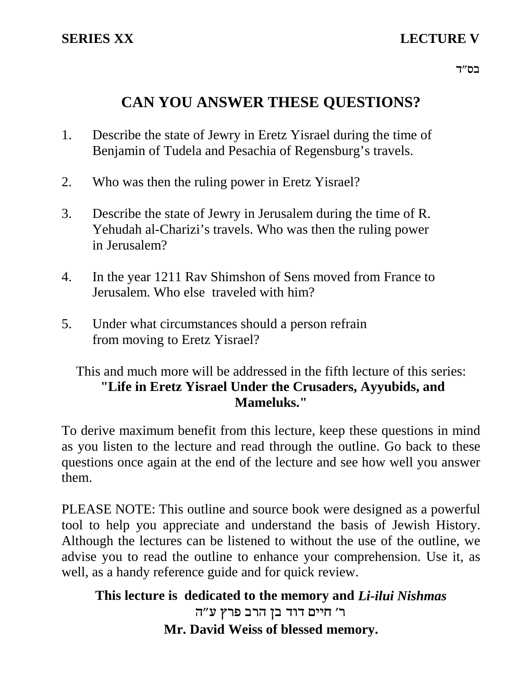# **SERIES XX LECTURE V**

רס"ד $\,$ 

# **CAN YOU ANSWER THESE QUESTIONS?**

- 1. Describe the state of Jewry in Eretz Yisrael during the time of Benjamin of Tudela and Pesachia of Regensburg's travels.
- 2. Who was then the ruling power in Eretz Yisrael?
- 3. Describe the state of Jewry in Jerusalem during the time of R. Yehudah al-Charizi's travels. Who was then the ruling power in Jerusalem?
- 4. In the year 1211 Rav Shimshon of Sens moved from France to Jerusalem. Who else traveled with him?
- 5. Under what circumstances should a person refrain from moving to Eretz Yisrael?

### This and much more will be addressed in the fifth lecture of this series: **"Life in Eretz Yisrael Under the Crusaders, Ayyubids, and Mameluks."**

To derive maximum benefit from this lecture, keep these questions in mind as you listen to the lecture and read through the outline. Go back to these questions once again at the end of the lecture and see how well you answer them.

PLEASE NOTE: This outline and source book were designed as a powerful tool to help you appreciate and understand the basis of Jewish History. Although the lectures can be listened to without the use of the outline, we advise you to read the outline to enhance your comprehension. Use it, as well, as a handy reference guide and for quick review.

## **This lecture is dedicated to the memory and** *Li-ilui Nishmas* ר' חיים דוד בן הרב פרץ ע"ה **Mr. David Weiss of blessed memory.**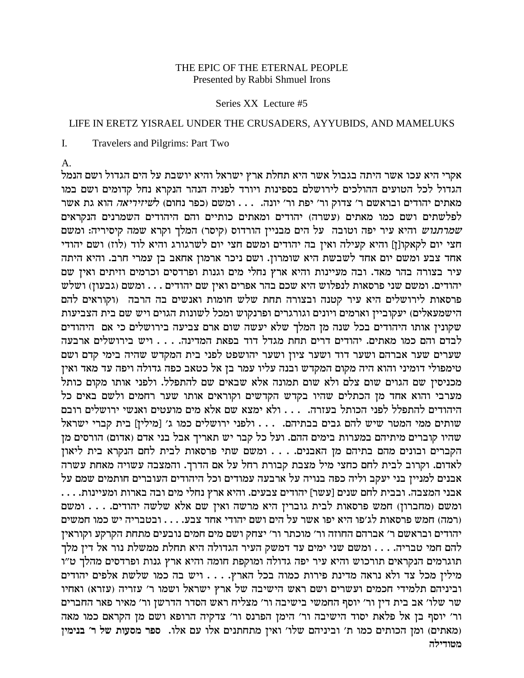### THE EPIC OF THE ETERNAL PEOPLE Presented by Rabbi Shmuel Irons

#### Series XX Lecture #5

#### LIFE IN ERETZ YISRAEL UNDER THE CRUSADERS, AYYUBIDS, AND MAMELUKS

I. Travelers and Pilgrims: Part Two

A.

אקרי היא עכו אשר היתה בגבול אשר היא תחלת ארץ ישראל והיא יושבת על הים הגדול ושם הנמל הגדול לכל הטועים ההולכים לירושלם בספינות ויורד לפניה הנהר הנקרא נחל קדומים ושם במו מאתים יהודים ובראשם ר' צדוק ור' יפת ור' יונה.  $\dots$  ומשם (כפר נחום) ל*שיזיריאה* הוא גת אשר לפלשתים ושם כמו מאתים (עשרה) יהודים ומאתים כותיים והם היהודים השמרנים הנקראים שמרתנוש והיא עיר יפה וטובה על הים מבניין הורדוס (קיסר) המלך וקרא שמה קיסיריה: ומשם חצי יום לקאקו[ז] והיא קעילה ואין בה יהודים ומשם חצי יום לשרגורג והיא לוד (לוז) ושם יהודי אחד צבע ומשם יום אחד לשבשת היא שומרון. ושם ניכר ארמון אחאב בן עמרי חרב. והיא היתה עיר בצורה בהר מאד. ובה מעיינות והיא ארץ נחלי מים וגנות ופרדסים וכרמים וזיתים ואין שם יהודים. ומשם שני פרסאות לנפלוש היא שכם בהר אפרים ואין שם יהודים . . . ומשם (גבעון) ושלש פרסאות לירושלים היא עיר קטנה ובצורה תחת שלש חומות ואנשים בה הרבה (וקוראים להם הישמעאלים) יעקוביין וארמים ויונים וגורגרים ופרנקוש ומכל לשונות הגוים ויש שם בית הצביעות שקונין אותו היהודים בכל שנה מן המלך שלא יעשה שום ארם צביעה בירושלים כי אם היהודים לבדם והם כמו מאתים. יהודים דרים תחת מגדל דוד בפאת המדינה. . . . ויש בירושלים ארבעה שערים שער אברהם ושער דוד ושער ציון ושער יהושפט לפני בית המקדש שהיה בימי קדם ושם טימפולי דומיני והוא היה מקום המקדש ובנה עליו עמר בן אל כטאב כפה גדולה ויפה עד מאד ואין מכניסין שם הגוים שום צלם ולא שום תמונה אלא שבאים שם להתפלל. ולפני אותו מקום כותל מערבי והוא אחד מן הכתלים שהיו בקדש הקדשים וקוראים אותו שער רחמים ולשם באים כל היהודים להתפלל לפני הכותל בעזרה. . . . ולא ימצא שם אלא מים מועטים ואנשי ירושלים רובם שותים ממי המטר שיש להם גבים בבתיהם. . . . ולפני ירושלים כמו ג' [מילין] בית קברי ישראל שהיו קוברים מיתיהם במערות בימים ההם. ועל כל קבר יש תאריך אבל בני אדם (אדום) הורסים מן הקברים ובונים מהם בתיהם מן האבנים. . . . ומשם שתי פרסאות לבית לחם הנקרא בית ליאון לאדום. וקרוב לבית לחם כחצי מיל מצבת קבורת רחל על אם הדרך. והמצבה עשויה מאחת עשרה אבנים למניין בני יעקב וליה כפה בנויה על ארבעה עמודים וכל היהודים העוברים חותמים שמם על . . . .zepiirne zex`a dae min ilgp ux` `ide .mirav micedi [xyr] mipy mgl ziaae .davnd ipa` ומשם (מחברון) חמש פרסאות לבית גוברין היא מרשה ואין שם אלא שלשה יהודים. . . . ומשם רמה) חמש פרסאות לג׳פו היא יפו אשר על הים ושם יהודי אחד צבע. . . . ובטבריה יש כמו חמשים) יהודים ובראשם ר' אברהם החוזה ור' מוכתר ור' יצחק ושם מים חמים נובעים מתחת הקרקע וקוראין להם חמי טבריה. . . . ומשם שני ימים עד דמשק העיר הגדולה היא תחלת ממשלת נור אל דין מלך תוגרמים הנקראים תורכוש והיא עיר יפה גדולה ומוקפת חומה והיא ארץ גנות ופרדסים מהלך ט״ו מילין מכל צד ולא נראה מדינת פירות כמוה בכל הארץ. . . . ויש בה כמו שלשת אלפים יהודים וביניהם תלמידי חכמים ועשרים ושם ראש הישיבה של ארץ ישראל ושמו ר׳ עזריה (עזרא) ואחיו שר שלו׳ אב בית דין ור׳ יוסף החמשי בישיבה ור׳ מצליח ראש הסדר הדרשן ור׳ מאיר פאר החברים ור' יוסף בן אל פלאת יסוד הישיבה ור' הימן הפרנס ור' צדקיה הרופא ושם מן הקראם כמו מאה **oinipa 'x ly zerqn xtq** .el` mr el` mipzgzn oi`e 'ely mdipiae 'z enk mizekd one (miz`n) **מטודילה**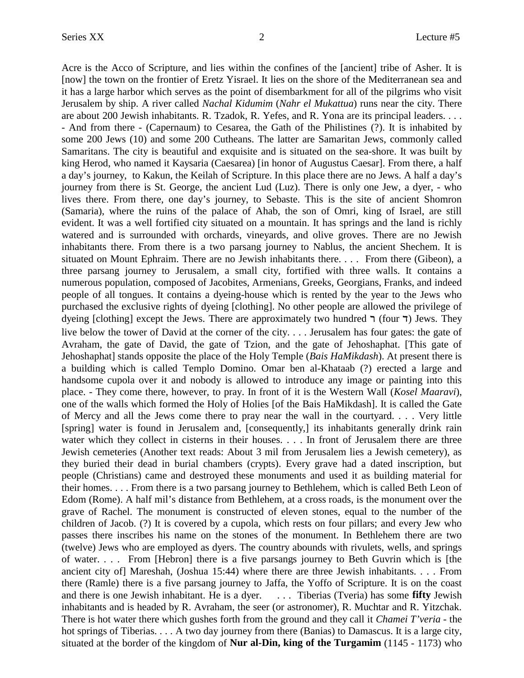Acre is the Acco of Scripture, and lies within the confines of the [ancient] tribe of Asher. It is [now] the town on the frontier of Eretz Yisrael. It lies on the shore of the Mediterranean sea and it has a large harbor which serves as the point of disembarkment for all of the pilgrims who visit Jerusalem by ship. A river called *Nachal Kidumim* (*Nahr el Mukattua*) runs near the city. There are about 200 Jewish inhabitants. R. Tzadok, R. Yefes, and R. Yona are its principal leaders. . . . - And from there - (Capernaum) to Cesarea, the Gath of the Philistines (?). It is inhabited by some 200 Jews (10) and some 200 Cutheans. The latter are Samaritan Jews, commonly called Samaritans. The city is beautiful and exquisite and is situated on the sea-shore. It was built by king Herod, who named it Kaysaria (Caesarea) [in honor of Augustus Caesar]. From there, a half a day's journey, to Kakun, the Keilah of Scripture. In this place there are no Jews. A half a day's journey from there is St. George, the ancient Lud (Luz). There is only one Jew, a dyer, - who lives there. From there, one day's journey, to Sebaste. This is the site of ancient Shomron (Samaria), where the ruins of the palace of Ahab, the son of Omri, king of Israel, are still evident. It was a well fortified city situated on a mountain. It has springs and the land is richly watered and is surrounded with orchards, vineyards, and olive groves. There are no Jewish inhabitants there. From there is a two parsang journey to Nablus, the ancient Shechem. It is situated on Mount Ephraim. There are no Jewish inhabitants there. . . . From there (Gibeon), a three parsang journey to Jerusalem, a small city, fortified with three walls. It contains a numerous population, composed of Jacobites, Armenians, Greeks, Georgians, Franks, and indeed people of all tongues. It contains a dyeing-house which is rented by the year to the Jews who purchased the exclusive rights of dyeing [clothing]. No other people are allowed the privilege of dyeing [clothing] except the Jews. There are approximately two hundred  $\tau$  (four  $\tau$ ) Jews. They live below the tower of David at the corner of the city. . . . Jerusalem has four gates: the gate of Avraham, the gate of David, the gate of Tzion, and the gate of Jehoshaphat. [This gate of Jehoshaphat] stands opposite the place of the Holy Temple (*Bais HaMikdash*). At present there is a building which is called Templo Domino. Omar ben al-Khataab (?) erected a large and handsome cupola over it and nobody is allowed to introduce any image or painting into this place. - They come there, however, to pray. In front of it is the Western Wall (*Kosel Maaravi*), one of the walls which formed the Holy of Holies [of the Bais HaMikdash]. It is called the Gate of Mercy and all the Jews come there to pray near the wall in the courtyard. . . . Very little [spring] water is found in Jerusalem and, [consequently,] its inhabitants generally drink rain water which they collect in cisterns in their houses. . . . In front of Jerusalem there are three Jewish cemeteries (Another text reads: About 3 mil from Jerusalem lies a Jewish cemetery), as they buried their dead in burial chambers (crypts). Every grave had a dated inscription, but people (Christians) came and destroyed these monuments and used it as building material for their homes. . . . From there is a two parsang journey to Bethlehem, which is called Beth Leon of Edom (Rome). A half mil's distance from Bethlehem, at a cross roads, is the monument over the grave of Rachel. The monument is constructed of eleven stones, equal to the number of the children of Jacob. (?) It is covered by a cupola, which rests on four pillars; and every Jew who passes there inscribes his name on the stones of the monument. In Bethlehem there are two (twelve) Jews who are employed as dyers. The country abounds with rivulets, wells, and springs of water. . . . From [Hebron] there is a five parsangs journey to Beth Guvrin which is [the ancient city of] Mareshah, (Joshua 15:44) where there are three Jewish inhabitants. . . . From there (Ramle) there is a five parsang journey to Jaffa, the Yoffo of Scripture. It is on the coast and there is one Jewish inhabitant. He is a dyer. . . . Tiberias (Tveria) has some **fifty** Jewish inhabitants and is headed by R. Avraham, the seer (or astronomer), R. Muchtar and R. Yitzchak. There is hot water there which gushes forth from the ground and they call it *Chamei T'veria -* the hot springs of Tiberias. . . . A two day journey from there (Banias) to Damascus. It is a large city, situated at the border of the kingdom of **Nur al-Din, king of the Turgamim** (1145 - 1173) who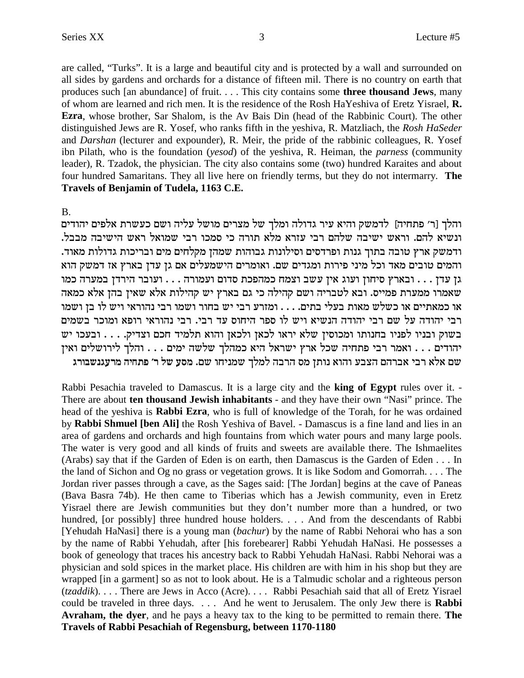are called, "Turks". It is a large and beautiful city and is protected by a wall and surrounded on all sides by gardens and orchards for a distance of fifteen mil. There is no country on earth that produces such [an abundance] of fruit.... This city contains some **three thousand Jews**, many of whom are learned and rich men. It is the residence of the Rosh HaYeshiva of Eretz Yisrael, R. **Ezra**, whose brother, Sar Shalom, is the Av Bais Din (head of the Rabbinic Court). The other distinguished Jews are R. Yosef, who ranks fifth in the yeshiva, R. Matzliach, the Rosh HaSeder and *Darshan* (lecturer and expounder), R. Meir, the pride of the rabbinic colleagues, R. Yosef ibn Pilath, who is the foundation (yesod) of the yeshiva, R. Heiman, the *parness* (community leader), R. Tzadok, the physician. The city also contains some (two) hundred Karaites and about four hundred Samaritans. They all live here on friendly terms, but they do not intermarry. The Travels of Benjamin of Tudela, 1163 C.E.

 $B<sub>1</sub>$ 

והלך [ר׳ פתחיה] לדמשק והיא עיר גדולה ומלך של מצרים מושל עליה ושם כעשרת אלפים יהודים ונשיא להם. וראש ישיבה שלהם רבי עזרא מלא תורה כי סמכו רבי שמואל ראש הישיבה מבבל. ודמשק ארץ טובה בתוך גנות ופרדסים וסילונות גבוהות שמהן מקלחים מים ובריכות גדולות מאוד. והמים טובים מאד וכל מיני פירות ומגדים שם. ואומרים הישמעלים אם גן עדן בארץ אז דמשק הוא גן עדן . . . ובארץ סיחון ועוג אין עשב וצמח כמהפכת סדום ועמורה . . . ועובר הירדן במערה כמו שאמרו ממערת פמייס. ובא לטבריה ושם קהילה כי גם בארץ יש קהילות אלא שאין בהן אלא כמאה או כמאתיים או כשלש מאות בעלי בתים. . . . ומזרע רבי יש בחור ושמו רבי נהוראי ויש לו בן ושמו רבי יהודה על שם רבי יהודה הנשיא ויש לו ספר היחוס עד רבי. רבי נהוראי רופא ומוכר בשמים בשוק ובניו לפניו בחנותו ומכוסין שלא יראו לכאן ולכאן והוא תלמיד חכם וצדיק. . . . ובעכו יש יהודים . . . ואמר רבי פתחיה שכל ארץ ישראל היא כמהלך שלשה ימים . . . והלך לירושלים ואין שם אלא רבי אברהם הצבע והוא נותן מס הרבה למלך שמניחו שם. מסע של ר׳ פתחיה מרעגנשבורג

Rabbi Pesachia traveled to Damascus. It is a large city and the king of Egypt rules over it. -There are about ten thousand Jewish inhabitants - and they have their own "Nasi" prince. The head of the yeshiva is Rabbi Ezra, who is full of knowledge of the Torah, for he was ordained by Rabbi Shmuel [ben Ali] the Rosh Yeshiva of Bavel. - Damascus is a fine land and lies in an area of gardens and orchards and high fountains from which water pours and many large pools. The water is very good and all kinds of fruits and sweets are available there. The Ishmaelites (Arabs) say that if the Garden of Eden is on earth, then Damascus is the Garden of Eden . . . In the land of Sichon and Og no grass or vegetation grows. It is like Sodom and Gomorrah.... The Jordan river passes through a cave, as the Sages said: [The Jordan] begins at the cave of Paneas (Bava Basra 74b). He then came to Tiberias which has a Jewish community, even in Eretz Yisrael there are Jewish communities but they don't number more than a hundred, or two hundred, [or possibly] three hundred house holders. . . . And from the descendants of Rabbi [Yehudah HaNasi] there is a young man (bachur) by the name of Rabbi Nehorai who has a son by the name of Rabbi Yehudah, after [his forebearer] Rabbi Yehudah HaNasi. He possesses a book of geneology that traces his ancestry back to Rabbi Yehudah HaNasi. Rabbi Nehorai was a physician and sold spices in the market place. His children are with him in his shop but they are wrapped [in a garment] so as not to look about. He is a Talmudic scholar and a righteous person (tzaddik).... There are Jews in Acco (Acre).... Rabbi Pesachiah said that all of Eretz Yisrael could be traveled in three days. . . . And he went to Jerusalem. The only Jew there is Rabbi **Avraham, the dyer, and he pays a heavy tax to the king to be permitted to remain there. The** Travels of Rabbi Pesachiah of Regensburg, between 1170-1180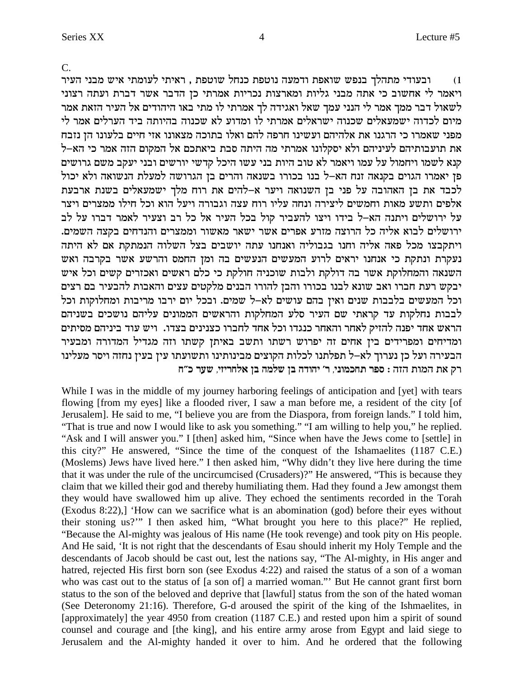$C_{\cdot}$ 

ובעודי מתהלך בנפש שואפת ודמעה נוטפת כנחל שוטפת , ראיתי לעומתי איש מבני העיר  $(1)$ ויאמר לי אחשוב כי אתה מבני גליות ומארצות נכריות אמרתי כן הדבר אשר דברת ועתה רצוני לשאול דבר ממך אמר לי הנני עמך שאל ואגידה לך אמרתי לו מתי באו היהודים אל העיר הזאת אמר מיום לכדוה ישמעאלים שכנוה ישראלים אמרתי לו ומדוע לא שכנוה בהיותה ביד הערלים אמר לי מפני שאמרו כי הרגנו את אלהיהם ועשינו חרפה להם ואלו בתוכה מצאונו אזי חיים בלעונו הז נזבח את תועבותיהם לעיניהם ולא יסקלונו אמרתי מה היתה סבת ביאתכם אל המקום הזה אמר כי הא–ל קנא לשמו ויחמול על עמו ויאמר לא טוב היות בני עשו היכל קדשי יורשים ובני יעקב משם גרושים פן יאמרו הגוים בקנאה זנח הא-ל בנו בכורו בשנאה והרים בן הגרושה למעלת הנשואה ולא יכול לכבד את בן האהובה על פני בן השנואה ויער א-להים את רוח מלך ישמעאלים בשנת ארבעת אלפים ותשע מאות וחמשים ליצירה ונחה עליו רוח עצה וגבורה ויעל הוא וכל חילו ממצרים ויצר על ירושלים ויתנה הא-ל בידו ויצו להעביר קול בכל העיר אל כל רב וצעיר לאמר דברו על לב ירושלים לבוא אליה כל הרוצה מזרע אפרים אשר ישאר מאשור וממצרים והנדחים בקצה השמים. ויתקבצו מכל פאה אליה וחנו בגבוליה ואנחנו עתה יושבים בצל השלוה הנמתקת אם לא היתה נעקרת ונתקת כי אנחנו יראים לרוע המעשים הנעשים בה ומן החמס והרשע אשר בקרבה ואש השנאה והמחלוקת אשר בה דולקת ולבות שוכניה חולקת כי כלם ראשים ואכזרים קשים וכל איש יבקש רעת חברו ואב שונא לבנו בכורו והבן להורו הבנים מלקטים עצים והאבות להבעיר בם רצים וכל המעשים בלבבות שנים ואין בהם עושים לא–ל שמים. ובכל יום ירבו מריבות ומחלוקות וכל לבבות נחלקות עד קראתי שם העיר סלע המחלקות והראשים הממונים עליהם נושכים בשניהם הראש אחד יפנה להזיק לאחר והאחר כנגדו וכל אחד לחברו כצנינים בצדו. ויש עוד ביניהם מסיתים ומדיחים ומפרידים בין אחים זה יפרוש רשתו ותשב באיתן קשתו וזה מגדיל המדורה ומבעיר הבעירה ועל כן נערוך לא–ל תפלתנו לכלות הקוצים מבינותינו ותשועתו עין בעין נחזה ויסר מעלינו רק את המות הזה : ספר תחכמוני, ר׳ יהודה בן שלמה בן אלחריזי, שער כ״ח

While I was in the middle of my journey harboring feelings of anticipation and [yet] with tears flowing [from my eyes] like a flooded river, I saw a man before me, a resident of the city [of Jerusalem]. He said to me, "I believe you are from the Diaspora, from foreign lands." I told him, "That is true and now I would like to ask you something." "I am willing to help you," he replied. "Ask and I will answer you." I [then] asked him, "Since when have the Jews come to [settle] in this city?" He answered, "Since the time of the conquest of the Ishamaelites (1187 C.E.) (Moslems) Jews have lived here." I then asked him, "Why didn't they live here during the time that it was under the rule of the uncircumcised (Crusaders)?" He answered, "This is because they claim that we killed their god and thereby humiliating them. Had they found a Jew amongst them they would have swallowed him up alive. They echoed the sentiments recorded in the Torah (Exodus 8:22),] 'How can we sacrifice what is an abomination (god) before their eyes without their stoning us?"" I then asked him, "What brought you here to this place?" He replied, "Because the Al-mighty was jealous of His name (He took revenge) and took pity on His people. And He said, 'It is not right that the descendants of Esau should inherit my Holy Temple and the descendants of Jacob should be cast out, lest the nations say, "The Al-mighty, in His anger and hatred, rejected His first born son (see Exodus 4:22) and raised the status of a son of a woman who was cast out to the status of [a son of] a married woman." But He cannot grant first born status to the son of the beloved and deprive that [lawful] status from the son of the hated woman (See Deteronomy 21:16). Therefore, G-d aroused the spirit of the king of the Ishmaelites, in [approximately] the year 4950 from creation (1187 C.E.) and rested upon him a spirit of sound counsel and courage and [the king], and his entire army arose from Egypt and laid siege to Jerusalem and the Al-mighty handed it over to him. And he ordered that the following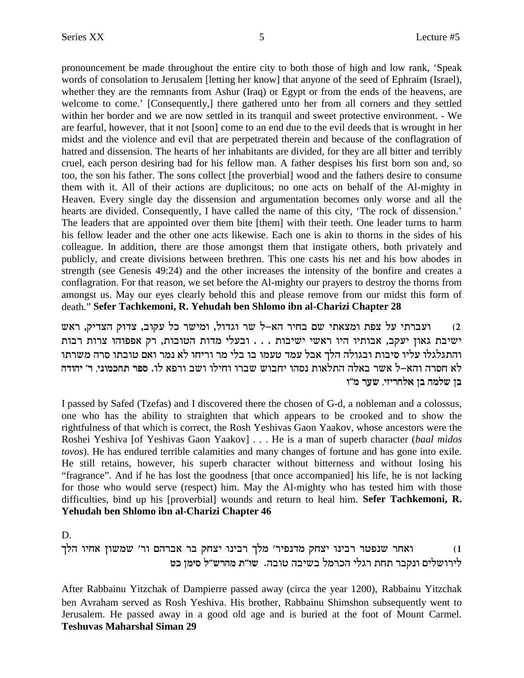pronouncement be made throughout the entire city to both those of high and low rank, 'Speak words of consolation to Jerusalem [letting her know] that anyone of the seed of Ephraim (Israel), whether they are the remnants from Ashur (Iraq) or Egypt or from the ends of the heavens, are welcome to come.' [Consequently,] there gathered unto her from all corners and they settled within her border and we are now settled in its tranquil and sweet protective environment. - We are fearful, however, that it not [soon] come to an end due to the evil deeds that is wrought in her midst and the violence and evil that are perpetrated therein and because of the conflagration of hatred and dissension. The hearts of her inhabitants are divided, for they are all bitter and terribly cruel, each person desiring bad for his fellow man. A father despises his first born son and, so too, the son his father. The sons collect [the proverbial] wood and the fathers desire to consume them with it. All of their actions are duplicitous; no one acts on behalf of the Al-mighty in Heaven. Every single day the dissension and argumentation becomes only worse and all the hearts are divided. Consequently, I have called the name of this city, 'The rock of dissension.' The leaders that are appointed over them bite [them] with their teeth. One leader turns to harm his fellow leader and the other one acts likewise. Each one is akin to thorns in the sides of his colleague. In addition, there are those amongst them that instigate others, both privately and publicly, and create divisions between brethren. This one casts his net and his bow abodes in strength (see Genesis 49:24) and the other increases the intensity of the bonfire and creates a conflagration. For that reason, we set before the Al-mighty our prayers to destroy the thorns from amongst us. May our eyes clearly behold this and please remove from our midst this form of death."**Sefer Tachkemoni, R. Yehudah ben Shlomo ibn al-Charizi Chapter 28**

ועברתי על צפת ומצאתי שם בחיר הא-ל שר וגדול, ומישר כל עקוב, צדוק הצדיק, ראש ו $(2$ ישיבת גאון יעקב, אבותיו היו ראשי ישיבות . . . ובעלי מדות הטובות, רק אפפוהו צרות רבות והתגלגלו עליו סיבות ובגולה הלך אבל עמד טעמו בו בלי מר וריחו לא נמר ואם טובתו סרה משרתו **dcedi 'x ,ipenkgz xtq** .el `txe aye elige exay yeagi edqp ze`lzd dl`a xy` l-`de dxqg `l **e"n xry ,ifixgl` oa dnly oa**

I passed by Safed (Tzefas) and I discovered there the chosen of G-d, a nobleman and a colossus, one who has the ability to straighten that which appears to be crooked and to show the rightfulness of that which is correct, the Rosh Yeshivas Gaon Yaakov, whose ancestors were the Roshei Yeshiva [of Yeshivas Gaon Yaakov] . . . He is a man of superb character (*baal midos tovos*). He has endured terrible calamities and many changes of fortune and has gone into exile. He still retains, however, his superb character without bitterness and without losing his "fragrance". And if he has lost the goodness [that once accompanied] his life, he is not lacking for those who would serve (respect) him. May the Al-mighty who has tested him with those difficulties, bind up his [proverbial] wounds and return to heal him. **Sefer Tachkemoni, R. Yehudah ben Shlomo ibn al-Charizi Chapter 46**

D.

jld eig` oeyny 'xe mdxa` xa wgvi epiax jln 'xitpcn wgvi epiax xhtpy xg`e (1 **hk oniq l"yxdn z"ey** .daeh daiya lnxkd ilbx zgz xawpe milyexil

After Rabbainu Yitzchak of Dampierre passed away (circa the year 1200), Rabbainu Yitzchak ben Avraham served as Rosh Yeshiva. His brother, Rabbainu Shimshon subsequently went to Jerusalem. He passed away in a good old age and is buried at the foot of Mount Carmel. **Teshuvas Maharshal Siman 29**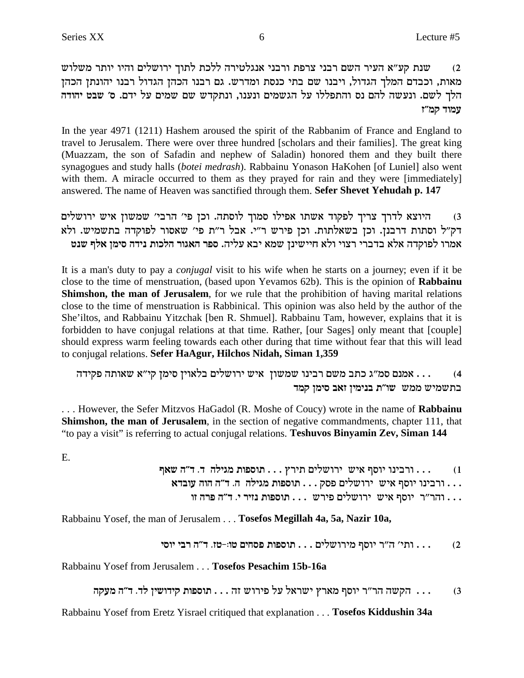שנת קע"א העיר השם רבני צרפת ורבני אנגלטירה ללכת לתוך ירושלים והיו יותר משלוש  $(2)$ מאות, וכבדם המלך הגדול, ויבנו שם בתי כנסת ומדרש. גם רבנו הכהן הגדול רבנו יהונתן הכהן הלך לשם. ונעשה להם נס והתפללו על הגשמים ונענו, ונתקדש שם שמים על ידם. ס׳ שבט יהודה עמוד קמ״ז

In the year 4971 (1211) Hashem aroused the spirit of the Rabbanim of France and England to travel to Jerusalem. There were over three hundred [scholars and their families]. The great king (Muazzam, the son of Safadin and nephew of Saladin) honored them and they built there synagogues and study halls (botei medrash). Rabbainu Yonason HaKohen [of Luniel] also went with them. A miracle occurred to them as they prayed for rain and they were [immediately] answered. The name of Heaven was sanctified through them. Sefer Shevet Yehudah p. 147

היוצא לדרך צריך לפקוד אשתו אפילו סמוך לוסתה. וכן פי׳ הרבי׳ שמשון איש ירושלים  $(3)$ דק"ל וסתות דרבנן. וכן בשאלתות. וכן פירש ר"י. אבל ר"ת פי' שאסור לפוקדה בתשמיש. ולא אמרו לפוקדה אלא בדברי רצוי ולא חיישינן שמא יבא עליה. ספר האגור הלכות נידה סימן אלף שנט

It is a man's duty to pay a *conjugal* visit to his wife when he starts on a journey; even if it be close to the time of menstruation, (based upon Yevamos 62b). This is the opinion of Rabbainu Shimshon, the man of Jerusalem, for we rule that the prohibition of having marital relations close to the time of menstruation is Rabbinical. This opinion was also held by the author of the She'iltos, and Rabbainu Yitzchak [ben R. Shmuel]. Rabbainu Tam, however, explains that it is forbidden to have conjugal relations at that time. Rather, [our Sages] only meant that [couple] should express warm feeling towards each other during that time without fear that this will lead to conjugal relations. Sefer HaAgur, Hilchos Nidah, Siman 1,359

... אמנם סמ"ג כתב משם רבינו שמשון איש ירושלים בלאוין סימן קי"א שאותה פקידה  $(4)$ בתשמיש ממש שו״ת בנימין זאב סימן קמד

... However, the Sefer Mitzvos HaGadol (R. Moshe of Coucy) wrote in the name of Rabbainu Shimshon, the man of Jerusalem, in the section of negative commandments, chapter 111, that "to pay a visit" is referring to actual conjugal relations. Teshuvos Binyamin Zev, Siman 144

E.

... ורבינו יוסף איש ירושלים תירץ ... תוספות מגילה ד. ד"ה שאף  $(1)$ ו הר"ר יוסף איש ירושלים פירש ... תוספות נזיר י. ד"ה פרה זו ...

Rabbainu Yosef, the man of Jerusalem . . . Tosefos Megillah 4a, 5a, Nazir 10a,

. . . ותי׳ ה״ר יוסף מירושלים . . . תוספות פסחים טוּ:-טז. ד״ה רבי יוסי  $(2)$ 

Rabbainu Yosef from Jerusalem . . . Tosefos Pesachim 15b-16a

```
... הקשה הר״ר יוסף מארץ ישראל על פירוש זה ... תוספות קידושין לד. ד״ה מעקה
                                                                  (3)
```
Rabbainu Yosef from Eretz Yisrael critiqued that explanation . . . Tosefos Kiddushin 34a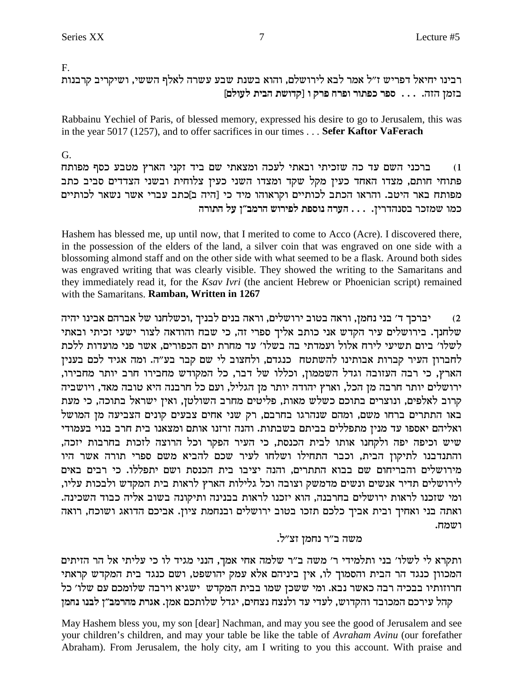$F_{1}$ 

רבינו יחיאל דפריש ז"ל אמר לבא לירושלם, והוא בשנת שבע עשרה לאלף הששי, ושיקריב קרבנות בזמן הזה. . . . ספר כפתור ופרח פרק ו [קדושת הבית לעולם]

Rabbainu Yechiel of Paris, of blessed memory, expressed his desire to go to Jerusalem, this was in the year 5017 (1257), and to offer sacrifices in our times . . . Sefer Kaftor VaFerach

G. ברכני השם עד כה שזכיתי ובאתי לעכה ומצאתי שם ביד זקני הארץ מטבע כסף מפותח  $(1)$ פתוחי חותם, מצדו האחד כעין מקל שקד ומצדו השני כעין צלוחית ובשני הצדדים סביב כתב מפותח באר היטב. והראו הכתב לכותיים וקראוהו מיד כי [היה ב]כתב עברי אשר נשאר לכותיים כמו שמזכר בסנהדרין. . . . הערה נוספת לפירוש הרמב"ן על התורה

Hashem has blessed me, up until now, that I merited to come to Acco (Acre). I discovered there, in the possession of the elders of the land, a silver coin that was engraved on one side with a blossoming almond staff and on the other side with what seemed to be a flask. Around both sides was engraved writing that was clearly visible. They showed the writing to the Samaritans and they immediately read it, for the Ksav Ivri (the ancient Hebrew or Phoenician script) remained with the Samaritans. **Ramban. Written in 1267** 

יברכך ד׳ בני נחמן, וראה בטוב ירושלים, וראה בנים לבניך ,וכשלחנו של אברהם אבינו יהיה  $(2)$ שלחנך. בירושלים עיר הקדש אני כותב אליך ספרי זה, כי שבח והודאה לצור ישעי זכיתי ובאתי לשלו׳ ביום תשיעי לירח אלול ועמדתי בה בשלו׳ עד מחרת יום הכפורים, אשר פני מועדות ללכת לחברון העיר קברות אבותינו להשתטח כנגדם, ולחצוב לי שם קבר בע"ה. ומה אגיד לכם בענין הארץ, כי רבה העזובה וגדל השממון, וכללו של דבר, כל המקודש מחבירו חרב יותר מחבירו, ירושלים יותר חרבה מן הכל, וארץ יהודה יותר מן הגליל, ועם כל חרבנה היא טובה מאד, ויושביה קרוב לאלפים, ונוצרים בתוכם כשלש מאות, פליטים מחרב השולטן, ואין ישראל בתוכה, כי מעת .<br>באו התתרים ברחו משם, ומהם שנהרגו בחרבם, רק שני אחים צבעים קונים הצביעה מן המושל ואליהם יאספו עד מנין מתפללים בביתם בשבתות. והנה זרזנו אותם ומצאנו בית חרב בנוי בעמודי .<br>שיש וכיפה יפה ולקחנו אותו לבית הכנסת, כי העיר הפקר וכל הרוצה לזכות בחרבות יזכה, והתנדבנו לתיקון הבית, וכבר התחילו ושלחו לעיר שכם להביא משם ספרי תורה אשר היו מירושלים והבריחום שם בבוא התתרים, והנה יציבו בית הכנסת ושם יתפללו. כי רבים באים לירושלים תדיר אנשים ונשים מדמשק וצובה וכל גלילות הארץ לראות בית המקדש ולבכות עליו, ומי שזכנו לראות ירושלים בחרבנה, הוא יזכנו לראות בבנינה ותיקונה בשוב אליה כבוד השכינה. ואתה בני ואחיך ובית אביך כלכם תזכו בטוב ירושלים ובנחמת ציון. אביכם הדואג ושוכח, רואה ושמח.

### משה ב״ר נחמז זצ״ל.

ותקרא לי לשלו׳ בני ותלמידי ר׳ משה ב״ר שלמה אחי אמך, הנני מגיד לו כי עליתי אל הר הזיתים המכוון כנגד הר הבית והסמוך לו, אין ביניהם אלא עמק יהושפט, ושם כנגד בית המקדש קראתי חרוזותיו בבכיה רבה כאשר נבא. ומי ששכן שמו בבית המקדש ישגיא וירבה שלומכם עם שלו׳ כל קהל עירכם המכובד והקדוש, לעדי עד ולנצח נצחים, יגדל שלותכם אמן. אגרת מהרמב״ן לבנו נחמן

May Hashem bless you, my son [dear] Nachman, and may you see the good of Jerusalem and see your children's children, and may your table be like the table of Avraham Avinu (our forefather Abraham). From Jerusalem, the holy city, am I writing to you this account. With praise and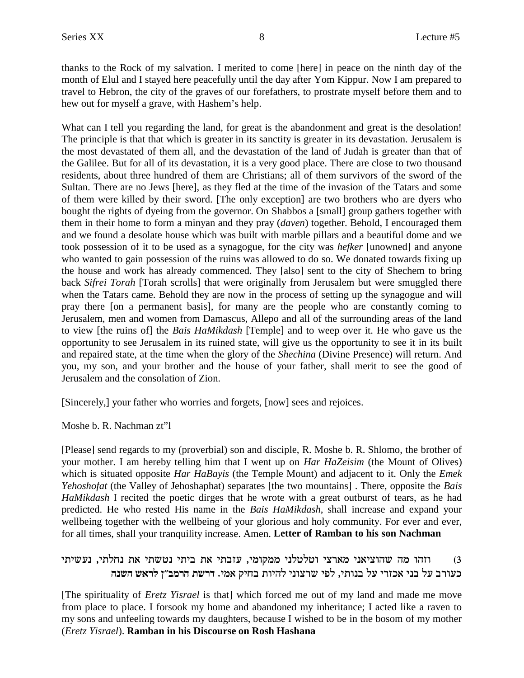thanks to the Rock of my salvation. I merited to come [here] in peace on the ninth day of the month of Elul and I stayed here peacefully until the day after Yom Kippur. Now I am prepared to travel to Hebron, the city of the graves of our forefathers, to prostrate myself before them and to hew out for myself a grave, with Hashem's help.

What can I tell you regarding the land, for great is the abandonment and great is the desolation! The principle is that that which is greater in its sanctity is greater in its devastation. Jerusalem is the most devastated of them all, and the devastation of the land of Judah is greater than that of the Galilee. But for all of its devastation, it is a very good place. There are close to two thousand residents, about three hundred of them are Christians; all of them survivors of the sword of the Sultan. There are no Jews [here], as they fled at the time of the invasion of the Tatars and some of them were killed by their sword. [The only exception] are two brothers who are dyers who bought the rights of dyeing from the governor. On Shabbos a [small] group gathers together with them in their home to form a minyan and they pray (*daven*) together. Behold, I encouraged them and we found a desolate house which was built with marble pillars and a beautiful dome and we took possession of it to be used as a synagogue, for the city was *hefker* [unowned] and anyone who wanted to gain possession of the ruins was allowed to do so. We donated towards fixing up the house and work has already commenced. They [also] sent to the city of Shechem to bring back *Sifrei Torah* [Torah scrolls] that were originally from Jerusalem but were smuggled there when the Tatars came. Behold they are now in the process of setting up the synagogue and will pray there [on a permanent basis], for many are the people who are constantly coming to Jerusalem, men and women from Damascus, Allepo and all of the surrounding areas of the land to view [the ruins of] the *Bais HaMikdash* [Temple] and to weep over it. He who gave us the opportunity to see Jerusalem in its ruined state, will give us the opportunity to see it in its built and repaired state, at the time when the glory of the *Shechina* (Divine Presence) will return. And you, my son, and your brother and the house of your father, shall merit to see the good of Jerusalem and the consolation of Zion.

[Sincerely,] your father who worries and forgets, [now] sees and rejoices.

Moshe b. R. Nachman zt"l

[Please] send regards to my (proverbial) son and disciple, R. Moshe b. R. Shlomo, the brother of your mother. I am hereby telling him that I went up on *Har HaZeisim* (the Mount of Olives) which is situated opposite *Har HaBayis* (the Temple Mount) and adjacent to it. Only the *Emek Yehoshofat* (the Valley of Jehoshaphat) separates [the two mountains] . There, opposite the *Bais HaMikdash* I recited the poetic dirges that he wrote with a great outburst of tears, as he had predicted. He who rested His name in the *Bais HaMikdash*, shall increase and expand your wellbeing together with the wellbeing of your glorious and holy community. For ever and ever, for all times, shall your tranquility increase. Amen. **Letter of Ramban to his son Nachman**

### iziyy , וזהו מה שהוציאני מארצי וטלטלני ממקומי, עזבתי את ביתי נטשתי את נחלתי, נעשיתי **dpyd y`xl o"anxd zyxc** .in` wiga zeidl ipevxy itl ,izepa lr ixfk` ipa lr axerk

[The spirituality of *Eretz Yisrael* is that] which forced me out of my land and made me move from place to place. I forsook my home and abandoned my inheritance; I acted like a raven to my sons and unfeeling towards my daughters, because I wished to be in the bosom of my mother (*Eretz Yisrael*). **Ramban in his Discourse on Rosh Hashana**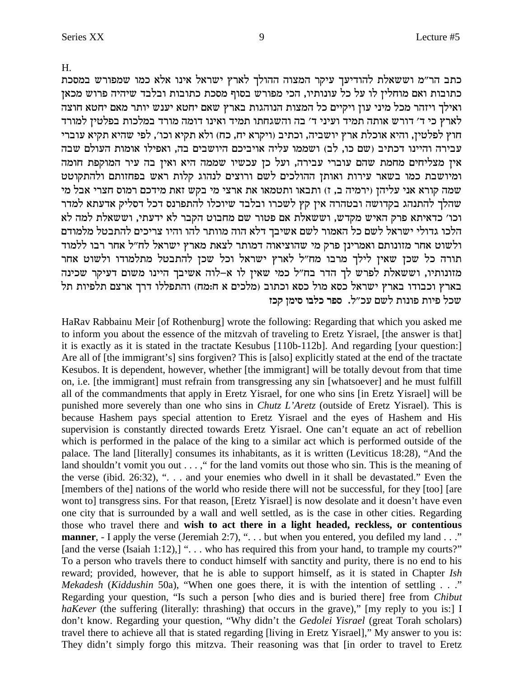$H_{\cdot}$ 

כתב הר"מ וששאלת להודיעך עיקר המצוה ההולך לארץ ישראל אינו אלא כמו שמפורש במסכת כתובות ואם מוחלין לו על כל עונותיו, הכי מפורש בסוף מסכת כתובות ובלבד שיהיה פרוש מכאן ואילך ויזהר מכל מיני עון ויקיים כל המצות הנוהגות בארץ שאם יחטא יענש יותר מאם יחטא חוצה לארץ כי ד׳ דורש אותה תמיד ועיני ד׳ בה והשגחתו תמיד ואינו דומה מורד במלכות בפלטין למורד חוץ לפלטין, והיא אוכלת ארץ יושביה, וכתיב (ויקרא יח, כח) ולא תקיא וכו׳, לפי שהיא תקיא עוברי עבירה והיינו דכתיב (שם כו, לב) ושממו עליה אויביכם היושבים בה, ואפילו אומות העולם שבה אין מצליחים מחמת שהם עוברי עבירה, ועל כן עכשיו שממה היא ואין בה עיר המוקפת חומה ומיושבת כמו בשאר עירות ואותן ההולכים לשם ורוצים לנהוג קלות ראש בפחזותם ולהתקוטט שמה קורא אני עליהן (ירמיה ב, ז) ותבאו ותטמאו את ארצי מי בקש זאת מידכם רמוס חצרי אבל מי שהלך להתנהג בקדושה ובטהרה אין קץ לשכרו ובלבד שיוכלו להתפרנס דכל דסליק אדעתא למדר וכו׳ כדאיתא פרק האיש מקדש, וששאלת אם פטור שם מחבוט הקבר לא ידעתי, וששאלת למה לא הלכו גדולי ישראל לשם כל האמור לשם אשיבך דלא הוה מוותר להו והיו צריכים להתבטל מלמודם ולשוט אחר מזונותם ואמרינן פרק מי שהוציאוה דמותר לצאת מארץ ישראל לח"ל אחר רבו ללמוד תורה כל שכן שאין לילך מרבו מח"ל לארץ ישראל וכל שכן להתבטל מתלמודו ולשוט אחר מזונותיו, וששאלת לפרש לך הדר בח"ל כמי שאין לו א–לוה אשיבך היינו משום דעיקר שכינה בארץ וכבודו בארץ ישראל כסא מול כסא וכתוב (מלכים א ח:מח) והתפללו דרך ארצם תלפיות תל שכל פיות פונות לשם עכ״ל. ספר כלבו סימן קכז

HaRav Rabbainu Meir [of Rothenburg] wrote the following: Regarding that which you asked me to inform you about the essence of the mitzvah of traveling to Eretz Yisrael, [the answer is that] it is exactly as it is stated in the tractate Kesubus [110b-112b]. And regarding [your question:] Are all of [the immigrant's] sins forgiven? This is [also] explicitly stated at the end of the tractate Kesubos. It is dependent, however, whether [the immigrant] will be totally devout from that time on, i.e. [the immigrant] must refrain from transgressing any sin [whatsoever] and he must fulfill all of the commandments that apply in Eretz Yisrael, for one who sins [in Eretz Yisrael] will be punished more severely than one who sins in *Chutz L'Aretz* (outside of Eretz Yisrael). This is because Hashem pays special attention to Eretz Yisrael and the eyes of Hashem and His supervision is constantly directed towards Eretz Yisrael. One can't equate an act of rebellion which is performed in the palace of the king to a similar act which is performed outside of the palace. The land [literally] consumes its inhabitants, as it is written (Leviticus 18:28), "And the land shouldn't vomit you out . . . ," for the land vomits out those who sin. This is the meaning of the verse (ibid. 26:32), " $\dots$  and your enemies who dwell in it shall be devastated." Even the [members of the] nations of the world who reside there will not be successful, for they [too] [are wont to] transgress sins. For that reason, [Eretz Yisrael] is now desolate and it doesn't have even one city that is surrounded by a wall and well settled, as is the case in other cities. Regarding those who travel there and wish to act there in a light headed, reckless, or contentious **manner**, - I apply the verse (Jeremiah 2:7), ". . . but when you entered, you defiled my land . . ." [and the verse (Isaiah 1:12),] ". . . who has required this from your hand, to trample my courts?" To a person who travels there to conduct himself with sanctity and purity, there is no end to his reward; provided, however, that he is able to support himself, as it is stated in Chapter Ish *Mekadesh (Kiddushin 50a)*, "When one goes there, it is with the intention of settling . . ." Regarding your question, "Is such a person [who dies and is buried there] free from *Chibut* haKever (the suffering (literally: thrashing) that occurs in the grave)," [my reply to you is:] I don't know. Regarding your question, "Why didn't the Gedolei Yisrael (great Torah scholars) travel there to achieve all that is stated regarding [living in Eretz Yisrael]," My answer to you is: They didn't simply forgo this mitzva. Their reasoning was that [in order to travel to Eretz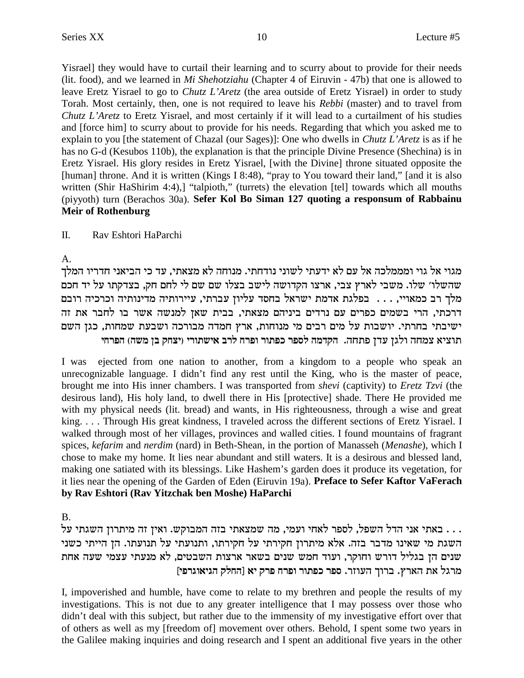Yisrael] they would have to curtail their learning and to scurry about to provide for their needs (lit. food), and we learned in *Mi Shehotziahu* (Chapter 4 of Eiruvin - 47b) that one is allowed to leave Eretz Yisrael to go to *Chutz L'Aretz* (the area outside of Eretz Yisrael) in order to study Torah. Most certainly, then, one is not required to leave his *Rebbi* (master) and to travel from *Chutz L'Aretz* to Eretz Yisrael, and most certainly if it will lead to a curtailment of his studies and [force him] to scurry about to provide for his needs. Regarding that which you asked me to explain to you [the statement of Chazal (our Sages)]: One who dwells in *Chutz L'Aretz* is as if he has no G-d (Kesubos 110b), the explanation is that the principle Divine Presence (Shechina) is in Eretz Yisrael. His glory resides in Eretz Yisrael, [with the Divine] throne situated opposite the [human] throne. And it is written (Kings I 8:48), "pray to You toward their land," [and it is also written (Shir HaShirim 4:4),] "talpioth," (turrets) the elevation [tel] towards which all mouths (piyyoth) turn (Berachos 30a). **Sefer Kol Bo Siman 127 quoting a responsum of Rabbainu Meir of Rothenburg**

II. Rav Eshtori HaParchi

A.

מגוי אל גוי ומממלכה אל עם לא ידעתי לשוני נודחתי. מנוחה לא מצאתי, עד כי הביאני חדריו המלך .<br>שהשלו׳ שלו. משבי לארץ צבי, ארצו הקדושה לישב בצלו שם שם לי לחם חק, בצדקתו על יד חכם מלך רב כמאויי, . . . בפלגת אדמת ישראל בחסד עליון עברתי, עיירותיה מדינותיה וכרכיה רובם דרכתי, הרי בשמים כפרים עם נרדים ביניהם מצאתי, בבית שאן למנשה אשר בו לחבר את זה ישיבתי בחרתי. יושבות על מים רבים מי מנוחות, ארץ חמדה מבורכה ושבעת שמחות, כגן השם **igxtd (dyn oa wgvi) ixezyi` axl gxte xeztk xtql dncwd** .dgzt ocr oble dgnv `ivez

I was ejected from one nation to another, from a kingdom to a people who speak an unrecognizable language. I didn't find any rest until the King, who is the master of peace, brought me into His inner chambers. I was transported from *shevi* (captivity) to *Eretz Tzvi* (the desirous land), His holy land, to dwell there in His [protective] shade. There He provided me with my physical needs (lit. bread) and wants, in His righteousness, through a wise and great king. . . . Through His great kindness, I traveled across the different sections of Eretz Yisrael. I walked through most of her villages, provinces and walled cities. I found mountains of fragrant spices, *kefarim* and *nerdim* (nard) in Beth-Shean, in the portion of Manasseh (*Menashe*), which I chose to make my home. It lies near abundant and still waters. It is a desirous and blessed land, making one satiated with its blessings. Like Hashem's garden does it produce its vegetation, for it lies near the opening of the Garden of Eden (Eiruvin 19a). **Preface to Sefer Kaftor VaFerach by Rav Eshtori (Rav Yitzchak ben Moshe) HaParchi**

B.

. . . באתי אני הדל השפל, לספר לאחי ועמי, מה שמצאתי בזה המבוקש. ואין זה מיתרון השגתי על . . . השגת מי שאינו מדבר בזה. אלא מיתרון חקירתי על חקירתו, ותנועתי על תנועתו. הן הייתי כשני שנים הן בגליל דורש וחוקר, ועוד חמש שנים בשאר ארצות השבטים, לא מנעתי עצמי שעה אחת **[itxbe`ibd wlgd] `i wxt gxte xeztk xtq** .xferd jexa .ux`d z` lbxn

I, impoverished and humble, have come to relate to my brethren and people the results of my investigations. This is not due to any greater intelligence that I may possess over those who didn't deal with this subject, but rather due to the immensity of my investigative effort over that of others as well as my [freedom of] movement over others. Behold, I spent some two years in the Galilee making inquiries and doing research and I spent an additional five years in the other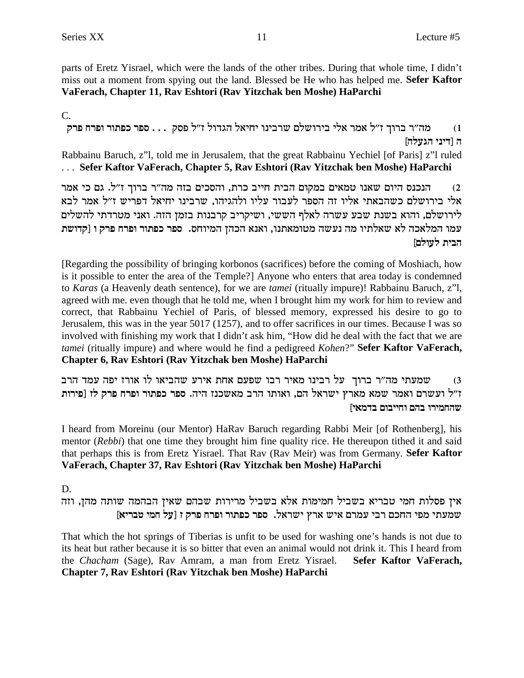parts of Eretz Yisrael, which were the lands of the other tribes. During that whole time, I didn't miss out a moment from spying out the land. Blessed be He who has helped me. **Sefer Kaftor VaFerach, Chapter 11, Rav Eshtori (Rav Yitzchak ben Moshe) HaParchi**

 $\mathcal{C}$ 

**wxt gxte xeztk xtq** . . . wqt l"f lecbd l`igi epiaxy mlyexia il` xn` l"f jexa x"dn (1 **[dlrbd ipic] d**

Rabbainu Baruch, z"l, told me in Jerusalem, that the great Rabbainu Yechiel [of Paris] z"l ruled . . . **Sefer Kaftor VaFerach, Chapter 5, Rav Eshtori (Rav Yitzchak ben Moshe) HaParchi**

הנכנס היום שאנו טמאים במקום הבית חייב כרת, והסכים בזה מה״ר ברוך ז״ל. גם כי אמר  $\,2\,$ אלי בירושלם כשהבאתי אליו זה הספר לעבור עליו ולהגיהו, שרבינו יחיאל דפריש ז"ל אמר לבא לירושלם, והוא בשנת שבע עשרה לאלף הששי, ושיקריב קרבנות בזמן הזה. ואני מטרדתי להשלים **zyecw] e wxt gxte xeztk xtq** .qgeind odkd `p`e ,epz`nehn dyrp dn eizl`y `l dk`lnd enr **הבית לעולם** 

[Regarding the possibility of bringing korbonos (sacrifices) before the coming of Moshiach, how is it possible to enter the area of the Temple?] Anyone who enters that area today is condemned to *Karas* (a Heavenly death sentence), for we are *tamei* (ritually impure)! Rabbainu Baruch, z"l, agreed with me. even though that he told me, when I brought him my work for him to review and correct, that Rabbainu Yechiel of Paris, of blessed memory, expressed his desire to go to Jerusalem, this was in the year 5017 (1257), and to offer sacrifices in our times. Because I was so involved with finishing my work that I didn't ask him, "How did he deal with the fact that we are *tamei* (ritually impure) and where would he find a pedigreed *Kohen*?"**Sefer Kaftor VaFerach, Chapter 6, Rav Eshtori (Rav Yitzchak ben Moshe) HaParchi**

שמעתי מה"ר ברוך על רבינו מאיר רבו שפעם אחת אירע שהביאו לו אורז יפה עמד הרב ש **zexit] fl wxt gxte xeztk xtq** .did fpky`n axd eze`e ,md l`xyi ux`n `ny xn`e mxyre l"f **[i`nca meaiige mda exingdy**

I heard from Moreinu (our Mentor) HaRav Baruch regarding Rabbi Meir [of Rothenberg], his mentor (*Rebbi*) that one time they brought him fine quality rice. He thereupon tithed it and said that perhaps this is from Eretz Yisrael. That Rav (Rav Meir) was from Germany. **Sefer Kaftor VaFerach, Chapter 37, Rav Eshtori (Rav Yitzchak ben Moshe) HaParchi**

D.

אין פסלות חמי טבריא בשביל חמימות אלא בשביל מרירות שבהם שאין הבהמה שותה מהן, וזה **[`ixah ing lr] f wxt gxte xeztk xtq** .l`xyi ux` yi` mxnr iax mkgd itn izrny

That which the hot springs of Tiberias is unfit to be used for washing one's hands is not due to its heat but rather because it is so bitter that even an animal would not drink it. This I heard from the *Chacham* (Sage), Rav Amram, a man from Eretz Yisrael. **Sefer Kaftor VaFerach, Chapter 7, Rav Eshtori (Rav Yitzchak ben Moshe) HaParchi**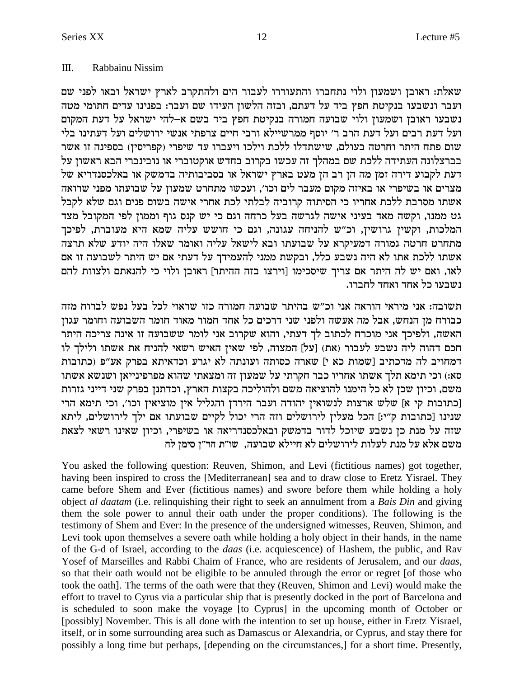#### $III.$ Rabbainu Nissim

שאלת: ראובן ושמעון ולוי נתחברו והתעוררו לעבור הים ולהתקרב לארץ ישראל ובאו לפני שם ועבר ונשבעו בנקיטת חפץ ביד על דעתם, ובזה הלשון העידו שם ועבר: בפנינו עדים חתומי מטה .<br>נשבעו ראובן ושמעון ולוי שבועה חמורה בנקיטת חפץ ביד בשם א–להי ישראל על דעת המקום ועל דעת רבים ועל דעת הרב ר׳ יוסף ממרשיילא ורבי חיים צרפתי אנשי ירושלים ועל דעתינו בלי שום פתח היתר וחרטה בעולם, שישתדלו ללכת וילכו ויעברו עד שיפרי (קפריסין) בספינה זו אשר בברצלונה העתידה ללכת שם במהלך זה עכשו בקרוב בחדש אוקטוברי או נובינברי הבא ראשון על דעת לקבוע דירה זמן מה הן רב הן מעט בארץ ישראל או בסביבותיה בדמשק או באלכסנדריא של מצרים או בשיפרי או באיזה מקום מעבר לים וכו׳, ועכשו מתחרט שמעון על שבועתו מפני שרואה אשתו מסרבת ללכת אחריו כי הסיתוה קרוביה לבלתי לכת אחרי אישה בשום פנים וגם שלא לקבל גט ממנו, וקשה מאד בעיני אישה לגרשה בעל כרחה וגם כי יש קנס גוף וממון לפי המקובל מצד המלכות, וקשין גרושין, וכ"ש להניחה עגונה, וגם כי חושש עליה שמא היא מעוברת, לפיכך מתחרט חרטה גמורה דמעיקרא על שבועתו ובא לישאל עליה ואומר שאלו היה יודע שלא תרצה אשתו ללכת אתו לא היה נשבע כלל, ובקשת ממני להעמידך על דעתי אם יש היתר לשבועה זו אם לאו, ואם יש לה היתר אם צריך שיסכימו [וירצו בזה ההיתר] ראובן ולוי כי להנאתם ולצוות להם ושבעו כל אחד ואחד לחברו.

תשובה: אני מיראי הוראה אני וכ"ש בהיתר שבועה חמורה כזו שראוי לכל בעל נפש לברוח מזה כבורח מן הנחש, אבל מה אעשה ולפני שני דרכים כל אחד חמור מאוד חומר השבועה וחומר עגון האשה, ולפיכך אני מוכרח לכתוב לך דעתי, והוא שקרוב אני לומר ששבועה זו אינה צריכה היתר חכם דהוה ליה נשבע לעבור (את) [על] המצוה, לפי שאין האיש רשאי להניח את אשתו ולילך לו דמחויב לה מדכתיב [שמות כא י] שארה כסותה ועונתה לא יגרע וכדאיתא בפרק אע״פ (כתובות סא:) וכי תימא תלך אשתו אחריו כבר חקרתי על שמעון זה ומצאתי שהוא מפרפינייאן ושנשא אשתו משם, וכיון שכן לא כל הימנו להוציאה משם ולהוליכה בקצות הארץ, וכדתנן בפרק שני דייני גזרות [כתובות קי א] שלש ארצות לנשואין יהודה ועבר הירדן והגליל אין מוציאין וכו׳, וכי תימא הרי שנינו [כתובות ק"י:] הכל מעלין לירושלים וזה הרי יכול לקיים שבועתו אם ילך לירושלים, ליתא שזה על מנת כן נשבע שיוכל לדור בדמשק ובאלכסנדריאה או בשיפרי, וכיון שאינו רשאי לצאת משם אלא על מנת לעלות לירושלים לא חיילא שבועה, שו״ת הר״ן סימן לח

You asked the following question: Reuven, Shimon, and Levi (fictitious names) got together, having been inspired to cross the [Mediterranean] sea and to draw close to Eretz Yisrael. They came before Shem and Ever (fictitious names) and swore before them while holding a holy object al daatam (i.e. relinquishing their right to seek an annulment from a Bais Din and giving them the sole power to annul their oath under the proper conditions). The following is the testimony of Shem and Ever: In the presence of the undersigned witnesses, Reuven, Shimon, and Levi took upon themselves a severe oath while holding a holy object in their hands, in the name of the G-d of Israel, according to the *daas* (i.e. acquiescence) of Hashem, the public, and Rav Yosef of Marseilles and Rabbi Chaim of France, who are residents of Jerusalem, and our *daas*, so that their oath would not be eligible to be annuled through the error or regret [of those who took the oath]. The terms of the oath were that they (Reuven, Shimon and Levi) would make the effort to travel to Cyrus via a particular ship that is presently docked in the port of Barcelona and is scheduled to soon make the voyage [to Cyprus] in the upcoming month of October or [possibly] November. This is all done with the intention to set up house, either in Eretz Yisrael, itself, or in some surrounding area such as Damascus or Alexandria, or Cyprus, and stay there for possibly a long time but perhaps, [depending on the circumstances,] for a short time. Presently,